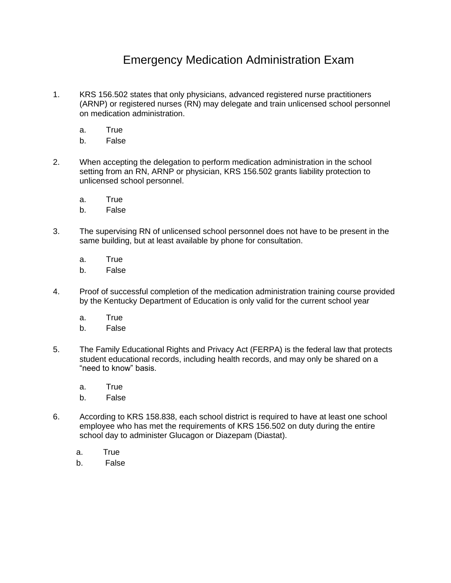## Emergency Medication Administration Exam

- 1. KRS 156.502 states that only physicians, advanced registered nurse practitioners (ARNP) or registered nurses (RN) may delegate and train unlicensed school personnel on medication administration.
	- a. True
	- b. False
- 2. When accepting the delegation to perform medication administration in the school setting from an RN, ARNP or physician, KRS 156.502 grants liability protection to unlicensed school personnel.
	- a. True
	- b. False
- 3. The supervising RN of unlicensed school personnel does not have to be present in the same building, but at least available by phone for consultation.
	- a. True
	- b. False
- 4. Proof of successful completion of the medication administration training course provided by the Kentucky Department of Education is only valid for the current school year
	- a. True
	- b. False
- 5. The Family Educational Rights and Privacy Act (FERPA) is the federal law that protects student educational records, including health records, and may only be shared on a "need to know" basis.
	- a. True
	- b. False
- 6. According to KRS 158.838, each school district is required to have at least one school employee who has met the requirements of KRS 156.502 on duty during the entire school day to administer Glucagon or Diazepam (Diastat).
	- a. True
	- b. False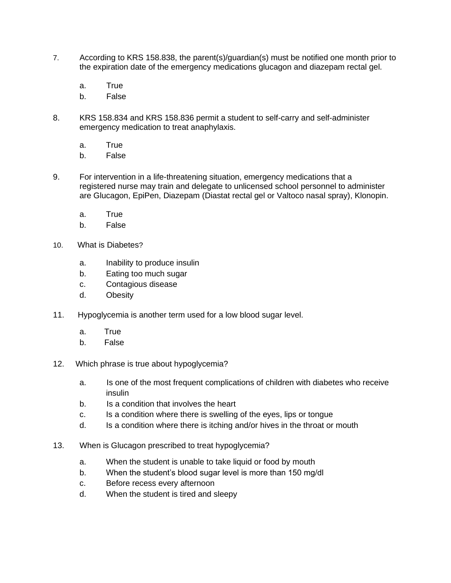- 7. According to KRS 158.838, the parent(s)/guardian(s) must be notified one month prior to the expiration date of the emergency medications glucagon and diazepam rectal gel.
	- a. True
	- b. False
- 8. KRS 158.834 and KRS 158.836 permit a student to self-carry and self-administer emergency medication to treat anaphylaxis.
	- a. True
	- b. False
- 9. For intervention in a life-threatening situation, emergency medications that a registered nurse may train and delegate to unlicensed school personnel to administer are Glucagon, EpiPen, Diazepam (Diastat rectal gel or Valtoco nasal spray), Klonopin.
	- a. True
	- b. False
- 10. What is Diabetes?
	- a. Inability to produce insulin
	- b. Eating too much sugar
	- c. Contagious disease
	- d. Obesity
- 11. Hypoglycemia is another term used for a low blood sugar level.
	- a. True
	- b. False
- 12. Which phrase is true about hypoglycemia?
	- a. Is one of the most frequent complications of children with diabetes who receive insulin
	- b. Is a condition that involves the heart
	- c. Is a condition where there is swelling of the eyes, lips or tongue
	- d. Is a condition where there is itching and/or hives in the throat or mouth
- 13. When is Glucagon prescribed to treat hypoglycemia?
	- a. When the student is unable to take liquid or food by mouth
	- b. When the student's blood sugar level is more than 150 ma/dl
	- c. Before recess every afternoon
	- d. When the student is tired and sleepy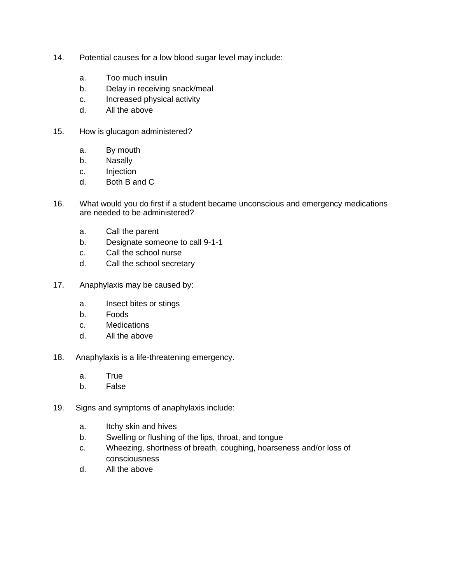- 14. Potential causes for a low blood sugar level may include:
	- a. Too much insulin
	- b. Delay in receiving snack/meal
	- c. Increased physical activity
	- d. All the above
- 15. How is glucagon administered?
	- a. By mouth
	- b. Nasally
	- c. Injection
	- d. Both B and C
- 16. What would you do first if a student became unconscious and emergency medications are needed to be administered?
	- a. Call the parent
	- b. Designate someone to call 9-1-1
	- c. Call the school nurse
	- d. Call the school secretary
- 17. Anaphylaxis may be caused by:
	- a. Insect bites or stings
	- b. Foods
	- c. Medications
	- d. All the above
- 18. Anaphylaxis is a life-threatening emergency.
	- a. True
	- b. False
- 19. Signs and symptoms of anaphylaxis include:
	- a. Itchy skin and hives
	- b. Swelling or flushing of the lips, throat, and tongue
	- c. Wheezing, shortness of breath, coughing, hoarseness and/or loss of consciousness
	- d. All the above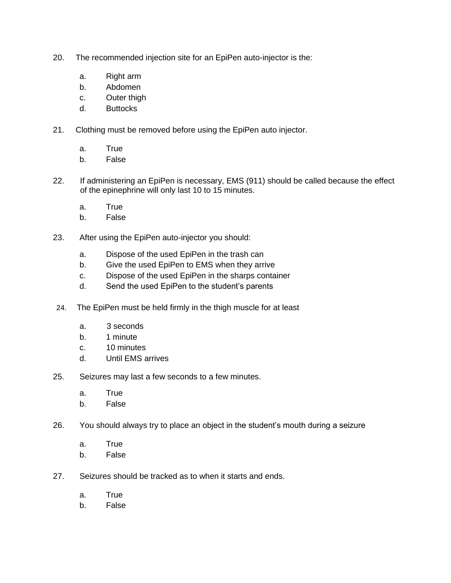- 20. The recommended injection site for an EpiPen auto-injector is the:
	- a. Right arm
	- b. Abdomen
	- c. Outer thigh
	- d. Buttocks
- 21. Clothing must be removed before using the EpiPen auto injector.
	- a. True
	- b. False
- 22. If administering an EpiPen is necessary, EMS (911) should be called because the effect of the epinephrine will only last 10 to 15 minutes.
	- a. True
	- b. False
- 23. After using the EpiPen auto-injector you should:
	- a. Dispose of the used EpiPen in the trash can
	- b. Give the used EpiPen to EMS when they arrive
	- c. Dispose of the used EpiPen in the sharps container
	- d. Send the used EpiPen to the student's parents
- 24. The EpiPen must be held firmly in the thigh muscle for at least
	- a. 3 seconds
	- b. 1 minute
	- c. 10 minutes
	- d. Until EMS arrives
- 25. Seizures may last a few seconds to a few minutes.
	- a. True
	- b. False
- 26. You should always try to place an object in the student's mouth during a seizure
	- a. True
	- b. False
- 27. Seizures should be tracked as to when it starts and ends.
	- a. True
	- b. False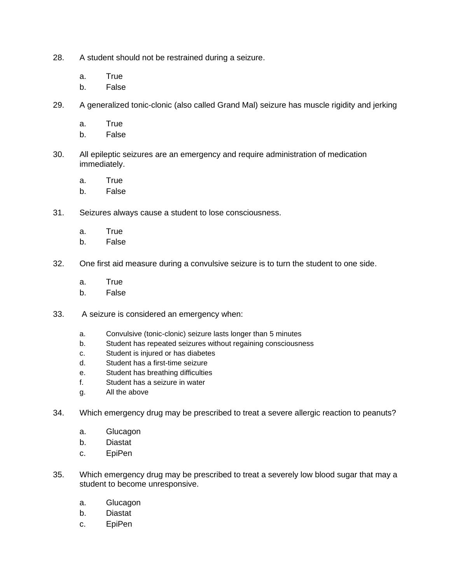- 28. A student should not be restrained during a seizure.
	- a. True
	- b. False
- 29. A generalized tonic-clonic (also called Grand Mal) seizure has muscle rigidity and jerking
	- a. True
	- b. False
- 30. All epileptic seizures are an emergency and require administration of medication immediately.
	- a. True
	- b. False
- 31. Seizures always cause a student to lose consciousness.
	- a. True
	- b. False
- 32. One first aid measure during a convulsive seizure is to turn the student to one side.
	- a. True
	- b. False
- 33. A seizure is considered an emergency when:
	- a. Convulsive (tonic-clonic) seizure lasts longer than 5 minutes
	- b. Student has repeated seizures without regaining consciousness
	- c. Student is injured or has diabetes
	- d. Student has a first-time seizure
	- e. Student has breathing difficulties
	- f. Student has a seizure in water
	- g. All the above
- 34. Which emergency drug may be prescribed to treat a severe allergic reaction to peanuts?
	- a. Glucagon
	- b. Diastat
	- c. EpiPen
- 35. Which emergency drug may be prescribed to treat a severely low blood sugar that may a student to become unresponsive.
	- a. Glucagon
	- b. Diastat
	- c. EpiPen